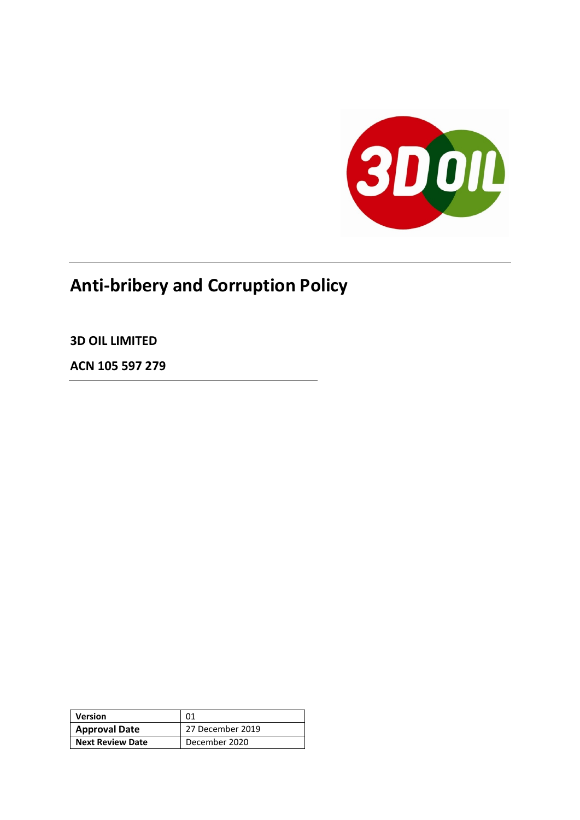

# **Anti-bribery and Corruption Policy**

**3D OIL LIMITED**

**ACN 105 597 279**

| <b>Version</b>          | 01               |
|-------------------------|------------------|
| <b>Approval Date</b>    | 27 December 2019 |
| <b>Next Review Date</b> | December 2020    |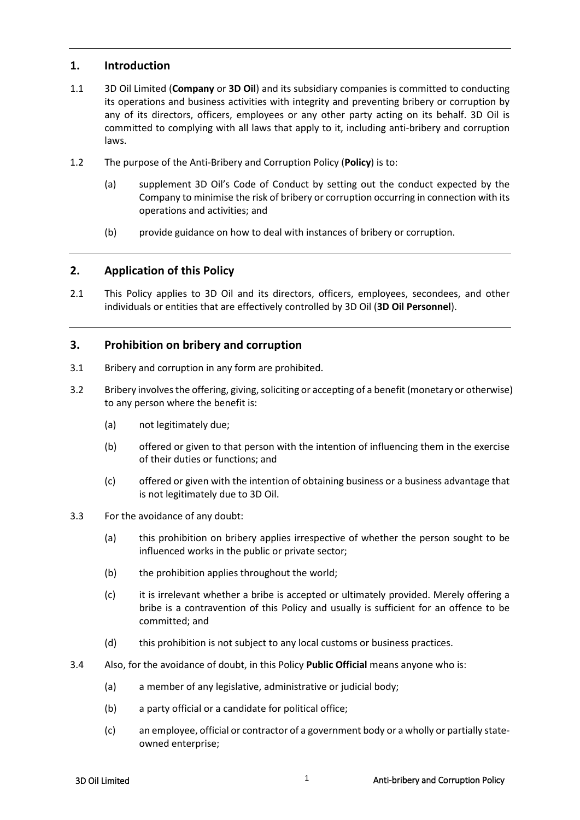# **1. Introduction**

- 1.1 3D Oil Limited (**Company** or **3D Oil**) and its subsidiary companies is committed to conducting its operations and business activities with integrity and preventing bribery or corruption by any of its directors, officers, employees or any other party acting on its behalf. 3D Oil is committed to complying with all laws that apply to it, including anti‐bribery and corruption laws.
- 1.2 The purpose of the Anti-Bribery and Corruption Policy (**Policy**) is to:
	- (a) supplement 3D Oil's Code of Conduct by setting out the conduct expected by the Company to minimise the risk of bribery or corruption occurring in connection with its operations and activities; and
	- (b) provide guidance on how to deal with instances of bribery or corruption.

# **2. Application of this Policy**

2.1 This Policy applies to 3D Oil and its directors, officers, employees, secondees, and other individuals or entities that are effectively controlled by 3D Oil (**3D Oil Personnel**).

# **3. Prohibition on bribery and corruption**

- 3.1 Bribery and corruption in any form are prohibited.
- 3.2 Bribery involves the offering, giving, soliciting or accepting of a benefit (monetary or otherwise) to any person where the benefit is:
	- (a) not legitimately due;
	- (b) offered or given to that person with the intention of influencing them in the exercise of their duties or functions; and
	- (c) offered or given with the intention of obtaining business or a business advantage that is not legitimately due to 3D Oil.
- 3.3 For the avoidance of any doubt:
	- (a) this prohibition on bribery applies irrespective of whether the person sought to be influenced works in the public or private sector;
	- (b) the prohibition applies throughout the world;
	- (c) it is irrelevant whether a bribe is accepted or ultimately provided. Merely offering a bribe is a contravention of this Policy and usually is sufficient for an offence to be committed; and
	- (d) this prohibition is not subject to any local customs or business practices.
- 3.4 Also, for the avoidance of doubt, in this Policy **Public Official** means anyone who is:
	- (a) a member of any legislative, administrative or judicial body;
	- (b) a party official or a candidate for political office;
	- (c) an employee, official or contractor of a government body or a wholly or partially state‐ owned enterprise;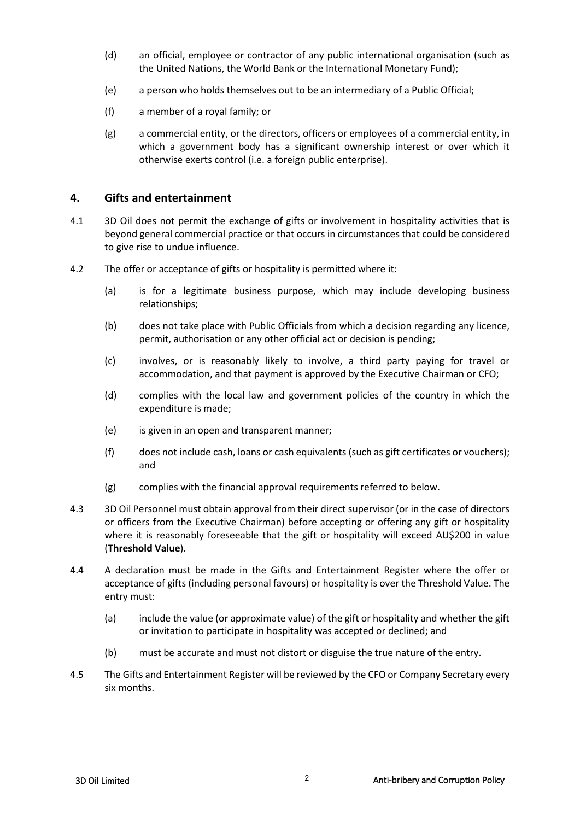- (d) an official, employee or contractor of any public international organisation (such as the United Nations, the World Bank or the International Monetary Fund);
- (e) a person who holds themselves out to be an intermediary of a Public Official;
- (f) a member of a royal family; or
- (g) a commercial entity, or the directors, officers or employees of a commercial entity, in which a government body has a significant ownership interest or over which it otherwise exerts control (i.e. a foreign public enterprise).

#### **4. Gifts and entertainment**

- 4.1 3D Oil does not permit the exchange of gifts or involvement in hospitality activities that is beyond general commercial practice or that occurs in circumstances that could be considered to give rise to undue influence.
- 4.2 The offer or acceptance of gifts or hospitality is permitted where it:
	- (a) is for a legitimate business purpose, which may include developing business relationships;
	- (b) does not take place with Public Officials from which a decision regarding any licence, permit, authorisation or any other official act or decision is pending;
	- (c) involves, or is reasonably likely to involve, a third party paying for travel or accommodation, and that payment is approved by the Executive Chairman or CFO;
	- (d) complies with the local law and government policies of the country in which the expenditure is made;
	- (e) is given in an open and transparent manner;
	- (f) does not include cash, loans or cash equivalents (such as gift certificates or vouchers); and
	- (g) complies with the financial approval requirements referred to below.
- 4.3 3D Oil Personnel must obtain approval from their direct supervisor (or in the case of directors or officers from the Executive Chairman) before accepting or offering any gift or hospitality where it is reasonably foreseeable that the gift or hospitality will exceed AU\$200 in value (**Threshold Value**).
- 4.4 A declaration must be made in the Gifts and Entertainment Register where the offer or acceptance of gifts (including personal favours) or hospitality is over the Threshold Value. The entry must:
	- (a) include the value (or approximate value) of the gift or hospitality and whether the gift or invitation to participate in hospitality was accepted or declined; and
	- (b) must be accurate and must not distort or disguise the true nature of the entry.
- 4.5 The Gifts and Entertainment Register will be reviewed by the CFO or Company Secretary every six months.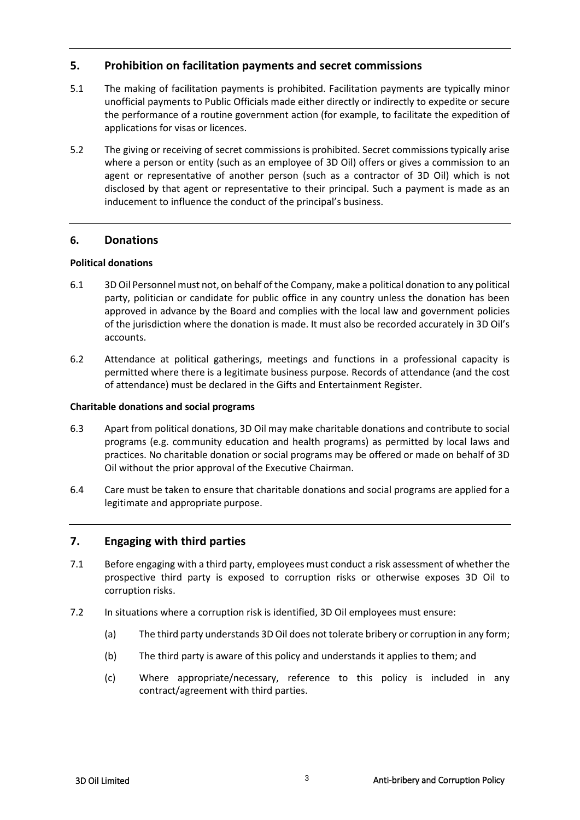# **5. Prohibition on facilitation payments and secret commissions**

- 5.1 The making of facilitation payments is prohibited. Facilitation payments are typically minor unofficial payments to Public Officials made either directly or indirectly to expedite or secure the performance of a routine government action (for example, to facilitate the expedition of applications for visas or licences.
- 5.2 The giving or receiving of secret commissions is prohibited. Secret commissions typically arise where a person or entity (such as an employee of 3D Oil) offers or gives a commission to an agent or representative of another person (such as a contractor of 3D Oil) which is not disclosed by that agent or representative to their principal. Such a payment is made as an inducement to influence the conduct of the principal's business.

# **6. Donations**

# **Political donations**

- 6.1 3D Oil Personnel must not, on behalf of the Company, make a political donation to any political party, politician or candidate for public office in any country unless the donation has been approved in advance by the Board and complies with the local law and government policies of the jurisdiction where the donation is made. It must also be recorded accurately in 3D Oil's accounts.
- 6.2 Attendance at political gatherings, meetings and functions in a professional capacity is permitted where there is a legitimate business purpose. Records of attendance (and the cost of attendance) must be declared in the Gifts and Entertainment Register.

#### **Charitable donations and social programs**

- 6.3 Apart from political donations, 3D Oil may make charitable donations and contribute to social programs (e.g. community education and health programs) as permitted by local laws and practices. No charitable donation or social programs may be offered or made on behalf of 3D Oil without the prior approval of the Executive Chairman.
- 6.4 Care must be taken to ensure that charitable donations and social programs are applied for a legitimate and appropriate purpose.

# **7. Engaging with third parties**

- 7.1 Before engaging with a third party, employees must conduct a risk assessment of whether the prospective third party is exposed to corruption risks or otherwise exposes 3D Oil to corruption risks.
- 7.2 In situations where a corruption risk is identified, 3D Oil employees must ensure:
	- (a) The third party understands 3D Oil does not tolerate bribery or corruption in any form;
	- (b) The third party is aware of this policy and understands it applies to them; and
	- (c) Where appropriate/necessary, reference to this policy is included in any contract/agreement with third parties.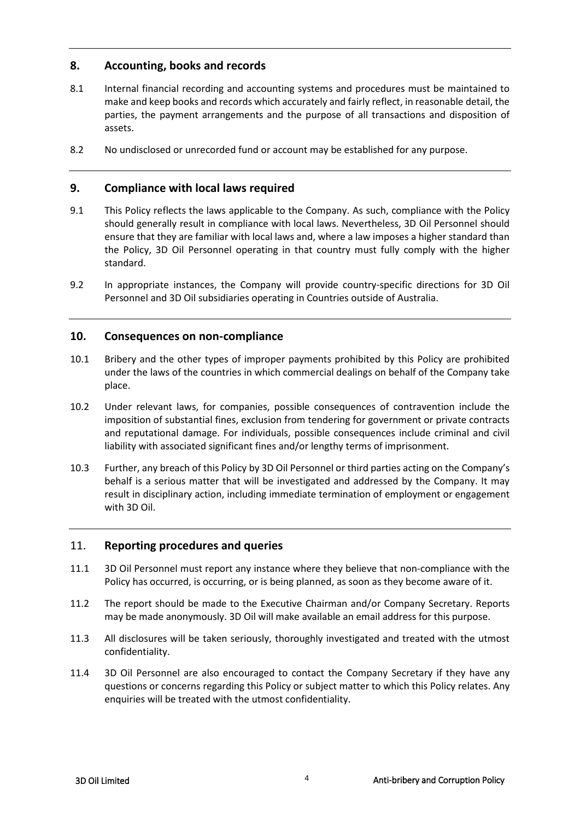# **8. Accounting, books and records**

- 8.1 Internal financial recording and accounting systems and procedures must be maintained to make and keep books and records which accurately and fairly reflect, in reasonable detail, the parties, the payment arrangements and the purpose of all transactions and disposition of assets.
- 8.2 No undisclosed or unrecorded fund or account may be established for any purpose.

# **9. Compliance with local laws required**

- 9.1 This Policy reflects the laws applicable to the Company. As such, compliance with the Policy should generally result in compliance with local laws. Nevertheless, 3D Oil Personnel should ensure that they are familiar with local laws and, where a law imposes a higher standard than the Policy, 3D Oil Personnel operating in that country must fully comply with the higher standard.
- 9.2 In appropriate instances, the Company will provide country-specific directions for 3D Oil Personnel and 3D Oil subsidiaries operating in Countries outside of Australia.

# **10. Consequences on non-compliance**

- 10.1 Bribery and the other types of improper payments prohibited by this Policy are prohibited under the laws of the countries in which commercial dealings on behalf of the Company take place.
- 10.2 Under relevant laws, for companies, possible consequences of contravention include the imposition of substantial fines, exclusion from tendering for government or private contracts and reputational damage. For individuals, possible consequences include criminal and civil liability with associated significant fines and/or lengthy terms of imprisonment.
- 10.3 Further, any breach of this Policy by 3D Oil Personnel or third parties acting on the Company's behalf is a serious matter that will be investigated and addressed by the Company. It may result in disciplinary action, including immediate termination of employment or engagement with 3D Oil.

# 11. **Reporting procedures and queries**

- 11.1 3D Oil Personnel must report any instance where they believe that non-compliance with the Policy has occurred, is occurring, or is being planned, as soon as they become aware of it.
- 11.2 The report should be made to the Executive Chairman and/or Company Secretary. Reports may be made anonymously. 3D Oil will make available an email address for this purpose.
- 11.3 All disclosures will be taken seriously, thoroughly investigated and treated with the utmost confidentiality.
- 11.4 3D Oil Personnel are also encouraged to contact the Company Secretary if they have any questions or concerns regarding this Policy or subject matter to which this Policy relates. Any enquiries will be treated with the utmost confidentiality.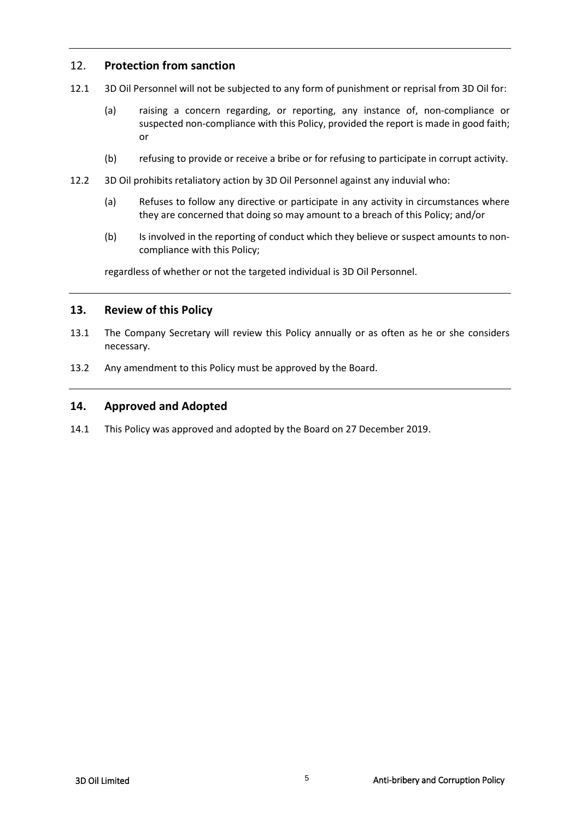# 12. **Protection from sanction**

- 12.1 3D Oil Personnel will not be subjected to any form of punishment or reprisal from 3D Oil for:
	- (a) raising a concern regarding, or reporting, any instance of, non‐compliance or suspected non-compliance with this Policy, provided the report is made in good faith; or
	- (b) refusing to provide or receive a bribe or for refusing to participate in corrupt activity.
- 12.2 3D Oil prohibits retaliatory action by 3D Oil Personnel against any induvial who:
	- (a) Refuses to follow any directive or participate in any activity in circumstances where they are concerned that doing so may amount to a breach of this Policy; and/or
	- (b) Is involved in the reporting of conduct which they believe or suspect amounts to noncompliance with this Policy;

regardless of whether or not the targeted individual is 3D Oil Personnel.

# **13. Review of this Policy**

- 13.1 The Company Secretary will review this Policy annually or as often as he or she considers necessary.
- 13.2 Any amendment to this Policy must be approved by the Board.

# **14. Approved and Adopted**

14.1 This Policy was approved and adopted by the Board on 27 December 2019.